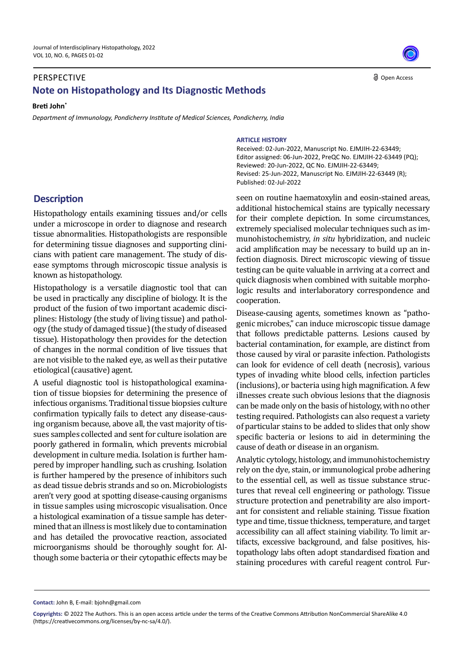## PERSPECTIVE **Note on Histopathology and Its Diagnostic Methods**

**Breti John\***

*Department of Immunology, Pondicherry Institute of Medical Sciences, Pondicherry, India*

## **Description**

Histopathology entails examining tissues and/or cells under a microscope in order to diagnose and research tissue abnormalities. Histopathologists are responsible for determining tissue diagnoses and supporting clinicians with patient care management. The study of disease symptoms through microscopic tissue analysis is known as histopathology.

Histopathology is a versatile diagnostic tool that can be used in practically any discipline of biology. It is the product of the fusion of two important academic disciplines: Histology (the study of living tissue) and pathology (the study of damaged tissue) (the study of diseased tissue). Histopathology then provides for the detection of changes in the normal condition of live tissues that are not visible to the naked eye, as well as their putative etiological (causative) agent.

A useful diagnostic tool is histopathological examination of tissue biopsies for determining the presence of infectious organisms. Traditional tissue biopsies culture confirmation typically fails to detect any disease-causing organism because, above all, the vast majority of tissues samples collected and sent for culture isolation are poorly gathered in formalin, which prevents microbial development in culture media. Isolation is further hampered by improper handling, such as crushing. Isolation is further hampered by the presence of inhibitors such as dead tissue debris strands and so on. Microbiologists aren't very good at spotting disease-causing organisms in tissue samples using microscopic visualisation. Once a histological examination of a tissue sample has determined that an illness is most likely due to contamination and has detailed the provocative reaction, associated microorganisms should be thoroughly sought for. Although some bacteria or their cytopathic effects may be

**ARTICLE HISTORY**

Received: 02-Jun-2022, Manuscript No. EJMJIH-22-63449; Editor assigned: 06-Jun-2022, PreQC No. EJMJIH-22-63449 (PQ); Reviewed: 20-Jun-2022, QC No. EJMJIH-22-63449; Revised: 25-Jun-2022, Manuscript No. EJMJIH-22-63449 (R); Published: 02-Jul-2022

seen on routine haematoxylin and eosin-stained areas, additional histochemical stains are typically necessary for their complete depiction. In some circumstances, extremely specialised molecular techniques such as immunohistochemistry, *in situ* hybridization, and nucleic acid amplification may be necessary to build up an infection diagnosis. Direct microscopic viewing of tissue testing can be quite valuable in arriving at a correct and quick diagnosis when combined with suitable morphologic results and interlaboratory correspondence and cooperation.

Disease-causing agents, sometimes known as "pathogenic microbes," can induce microscopic tissue damage that follows predictable patterns. Lesions caused by bacterial contamination, for example, are distinct from those caused by viral or parasite infection. Pathologists can look for evidence of cell death (necrosis), various types of invading white blood cells, infection particles (inclusions), or bacteria using high magnification. A few illnesses create such obvious lesions that the diagnosis can be made only on the basis of histology, with no other testing required. Pathologists can also request a variety of particular stains to be added to slides that only show specific bacteria or lesions to aid in determining the cause of death or disease in an organism.

Analytic cytology, histology, and immunohistochemistry rely on the dye, stain, or immunological probe adhering to the essential cell, as well as tissue substance structures that reveal cell engineering or pathology. Tissue structure protection and penetrability are also important for consistent and reliable staining. Tissue fixation type and time, tissue thickness, temperature, and target accessibility can all affect staining viability. To limit artifacts, excessive background, and false positives, histopathology labs often adopt standardised fixation and staining procedures with careful reagent control. Fur-

**Contact:** John B, E-mail: bjohn@gmail.com



**Copyrights:** © 2022 The Authors. This is an open access article under the terms of the Creative Commons Attribution NonCommercial ShareAlike 4.0 (https://creativecommons.org/licenses/by-nc-sa/4.0/).